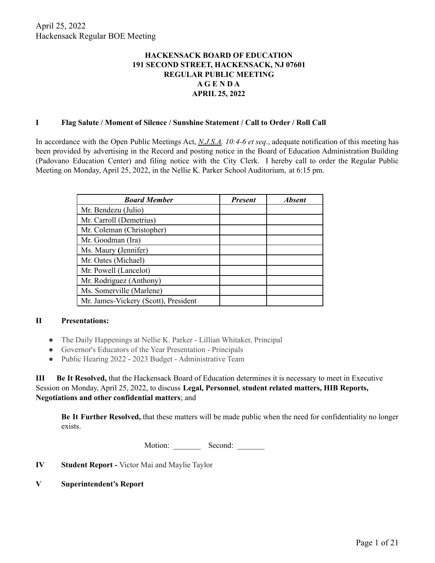# **HACKENSACK BOARD OF EDUCATION 191 SECOND STREET, HACKENSACK, NJ 07601 REGULAR PUBLIC MEETING A G E N D A APRIL 25, 2022**

#### **I Flag Salute / Moment of Silence / Sunshine Statement / Call to Order / Roll Call**

In accordance with the Open Public Meetings Act, *N.J.S.A. 10:4-6 et seq*., adequate notification of this meeting has been provided by advertising in the Record and posting notice in the Board of Education Administration Building (Padovano Education Center) and filing notice with the City Clerk. I hereby call to order the Regular Public Meeting on Monday, April 25, 2022, in the Nellie K. Parker School Auditorium, at 6:15 pm.

| <b>Board Member</b>                  | <b>Present</b> | <b>Absent</b> |
|--------------------------------------|----------------|---------------|
| Mr. Bendezu (Julio)                  |                |               |
| Mr. Carroll (Demetrius)              |                |               |
| Mr. Coleman (Christopher)            |                |               |
| Mr. Goodman (Ira)                    |                |               |
| Ms. Maury (Jennifer)                 |                |               |
| Mr. Oates (Michael)                  |                |               |
| Mr. Powell (Lancelot)                |                |               |
| Mr. Rodriguez (Anthony)              |                |               |
| Ms. Somerville (Marlene)             |                |               |
| Mr. James-Vickery (Scott), President |                |               |

## **II Presentations:**

- The Daily Happenings at Nellie K. Parker Lillian Whitaker, Principal
- Governor's Educators of the Year Presentation Principals
- Public Hearing 2022 2023 Budget Administrative Team

**III Be It Resolved,** that the Hackensack Board of Education determines it is necessary to meet in Executive Session on Monday, April 25, 2022, to discuss **Legal, Personnel**, **student related matters, HIB Reports, Negotiations and other confidential matters**; and

**Be It Further Resolved,** that these matters will be made public when the need for confidentiality no longer exists.

Motion: Second:

**IV Student Report -** Victor Mai and Maylie Taylor

**V Superintendent's Report**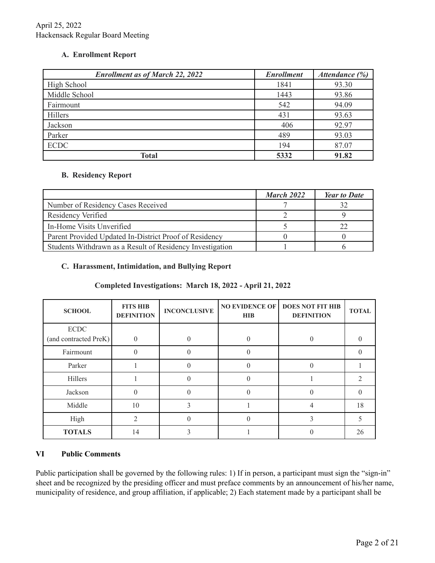## **A. Enrollment Report**

| <b>Enrollment as of March 22, 2022</b> | <b>Enrollment</b> | Attendance (%) |
|----------------------------------------|-------------------|----------------|
| High School                            | 1841              | 93.30          |
| Middle School                          | 1443              | 93.86          |
| Fairmount                              | 542               | 94.09          |
| Hillers                                | 431               | 93.63          |
| Jackson                                | 406               | 92.97          |
| Parker                                 | 489               | 93.03          |
| <b>ECDC</b>                            | 194               | 87.07          |
| Total                                  | 5332              | 91.82          |

## **B. Residency Report**

|                                                           | March 2022 | <b>Year to Date</b> |
|-----------------------------------------------------------|------------|---------------------|
| Number of Residency Cases Received                        |            |                     |
| Residency Verified                                        |            |                     |
| In-Home Visits Unverified                                 |            |                     |
| Parent Provided Updated In-District Proof of Residency    |            |                     |
| Students Withdrawn as a Result of Residency Investigation |            |                     |

## **C. Harassment, Intimidation, and Bullying Report**

# **Completed Investigations: March 18, 2022 - April 21, 2022**

| <b>SCHOOL</b>                        | <b>FITS HIB</b><br><b>DEFINITION</b> | <b>INCONCLUSIVE</b> | <b>NO EVIDENCE OF</b><br><b>HIB</b> | <b>DOES NOT FIT HIB</b><br><b>DEFINITION</b> | <b>TOTAL</b> |
|--------------------------------------|--------------------------------------|---------------------|-------------------------------------|----------------------------------------------|--------------|
| <b>ECDC</b><br>(and contracted PreK) | $\Omega$                             | $\theta$            |                                     |                                              |              |
| Fairmount                            |                                      |                     |                                     |                                              |              |
| Parker                               |                                      |                     | 0                                   | $\Omega$                                     |              |
| Hillers                              |                                      |                     | $\left( \right)$                    |                                              |              |
| Jackson                              |                                      |                     | $\Omega$                            | $\Omega$                                     |              |
| Middle                               | 10                                   |                     |                                     | 4                                            | 18           |
| High                                 | $\mathcal{D}$                        |                     | 0                                   | 3                                            |              |
| <b>TOTALS</b>                        | 14                                   |                     |                                     |                                              | 26           |

# **VI Public Comments**

Public participation shall be governed by the following rules: 1) If in person, a participant must sign the "sign-in" sheet and be recognized by the presiding officer and must preface comments by an announcement of his/her name, municipality of residence, and group affiliation, if applicable; 2) Each statement made by a participant shall be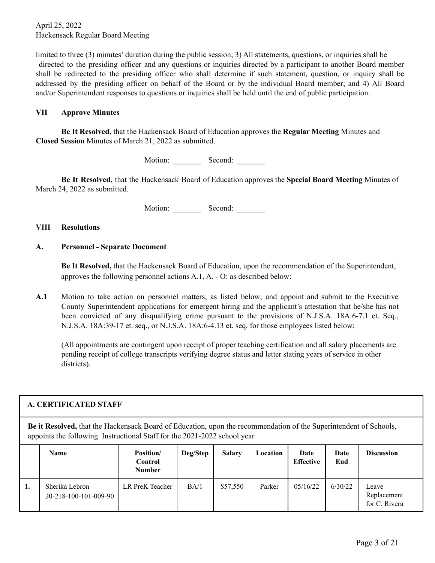limited to three (3) minutes' duration during the public session; 3) All statements, questions, or inquiries shall be directed to the presiding officer and any questions or inquiries directed by a participant to another Board member shall be redirected to the presiding officer who shall determine if such statement, question, or inquiry shall be addressed by the presiding officer on behalf of the Board or by the individual Board member; and 4) All Board and/or Superintendent responses to questions or inquiries shall be held until the end of public participation.

#### **VII Approve Minutes**

**Be It Resolved,** that the Hackensack Board of Education approves the **Regular Meeting** Minutes and **Closed Session** Minutes of March 21, 2022 as submitted.

Motion: Second:

**Be It Resolved,** that the Hackensack Board of Education approves the **Special Board Meeting** Minutes of March 24, 2022 as submitted.

Motion: Second:

#### **VIII Resolutions**

#### **A. Personnel - Separate Document**

**Be It Resolved,** that the Hackensack Board of Education, upon the recommendation of the Superintendent, approves the following personnel actions A.1, A. - O: as described below:

**A.1** Motion to take action on personnel matters, as listed below; and appoint and submit to the Executive County Superintendent applications for emergent hiring and the applicant's attestation that he/she has not been convicted of any disqualifying crime pursuant to the provisions of N.J.S.A. 18A:6-7.1 et. Seq., N.J.S.A. 18A:39-17 et. seq., or N.J.S.A. 18A:6-4.13 et. seq. for those employees listed below:

(All appointments are contingent upon receipt of proper teaching certification and all salary placements are pending receipt of college transcripts verifying degree status and letter stating years of service in other districts).

|                                                                                                                                                                                                | A. CERTIFICATED STAFF                               |                 |      |          |        |           |         |                                       |  |  |  |
|------------------------------------------------------------------------------------------------------------------------------------------------------------------------------------------------|-----------------------------------------------------|-----------------|------|----------|--------|-----------|---------|---------------------------------------|--|--|--|
| Be it Resolved, that the Hackensack Board of Education, upon the recommendation of the Superintendent of Schools,<br>appoints the following Instructional Staff for the 2021-2022 school year. |                                                     |                 |      |          |        |           |         |                                       |  |  |  |
| <b>Name</b><br>Position/<br><b>Salary</b><br>Deg/Step<br><b>Discussion</b><br>Date<br>Location<br>Date<br><b>Effective</b><br>End<br><b>Control</b><br><b>Number</b>                           |                                                     |                 |      |          |        |           |         |                                       |  |  |  |
| 1.                                                                                                                                                                                             | Sherika Lebron<br>$20 - 218 - 100 - 101 - 009 - 90$ | LR PreK Teacher | BA/1 | \$57,550 | Parker | 0.5/16/22 | 6/30/22 | Leave<br>Replacement<br>for C. Rivera |  |  |  |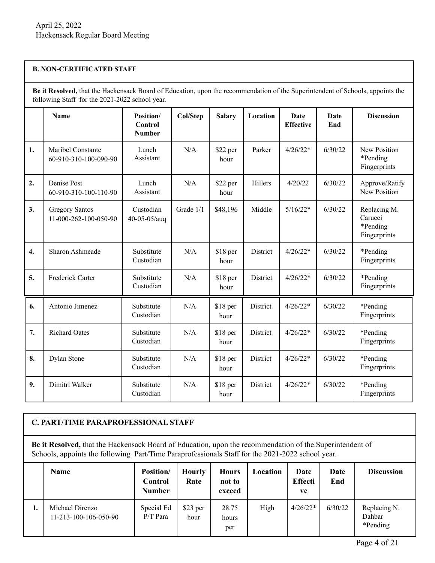#### **B. NON-CERTIFICATED STAFF**

**Be it Resolved,** that the Hackensack Board of Education, upon the recommendation of the Superintendent of Schools, appoints the following Staff for the 2021-2022 school year.

|    | Name                                           | Position/<br>Control<br><b>Number</b> | Col/Step  | <b>Salary</b>     | Location | Date<br><b>Effective</b> | Date<br>End | <b>Discussion</b>                                   |
|----|------------------------------------------------|---------------------------------------|-----------|-------------------|----------|--------------------------|-------------|-----------------------------------------------------|
| 1. | Maribel Constante<br>60-910-310-100-090-90     | Lunch<br>Assistant                    | N/A       | \$22 per<br>hour  | Parker   | $4/26/22*$               | 6/30/22     | New Position<br>*Pending<br>Fingerprints            |
| 2. | Denise Post<br>60-910-310-100-110-90           | Lunch<br>Assistant                    | N/A       | \$22 per<br>hour  | Hillers  | 4/20/22                  | 6/30/22     | Approve/Ratify<br>New Position                      |
| 3. | <b>Gregory Santos</b><br>11-000-262-100-050-90 | Custodian<br>40-05-05/auq             | Grade 1/1 | \$48,196          | Middle   | $5/16/22*$               | 6/30/22     | Replacing M.<br>Carucci<br>*Pending<br>Fingerprints |
| 4. | Sharon Ashmeade                                | Substitute<br>Custodian               | N/A       | \$18 per<br>hour  | District | $4/26/22*$               | 6/30/22     | *Pending<br>Fingerprints                            |
| 5. | Frederick Carter                               | Substitute<br>Custodian               | N/A       | $$18$ per<br>hour | District | $4/26/22*$               | 6/30/22     | *Pending<br>Fingerprints                            |
| 6. | Antonio Jimenez                                | Substitute<br>Custodian               | N/A       | \$18 per<br>hour  | District | $4/26/22*$               | 6/30/22     | *Pending<br>Fingerprints                            |
| 7. | <b>Richard Oates</b>                           | Substitute<br>Custodian               | N/A       | \$18 per<br>hour  | District | $4/26/22*$               | 6/30/22     | *Pending<br>Fingerprints                            |
| 8. | Dylan Stone                                    | Substitute<br>Custodian               | N/A       | \$18 per<br>hour  | District | $4/26/22*$               | 6/30/22     | *Pending<br>Fingerprints                            |
| 9. | Dimitri Walker                                 | Substitute<br>Custodian               | N/A       | \$18 per<br>hour  | District | $4/26/22*$               | 6/30/22     | *Pending<br>Fingerprints                            |

# **C. PART/TIME PARAPROFESSIONAL STAFF**

**Be it Resolved,** that the Hackensack Board of Education, upon the recommendation of the Superintendent of Schools, appoints the following Part/Time Paraprofessionals Staff for the 2021-2022 school year.

|    | <b>Name</b>                              | <b>Position/</b><br>Control<br>Number | <b>Hourly</b><br>Rate | <b>Hours</b><br>not to<br>exceed | Location | Date<br><b>Effecti</b><br>ve | Date<br>End | <b>Discussion</b>                  |
|----|------------------------------------------|---------------------------------------|-----------------------|----------------------------------|----------|------------------------------|-------------|------------------------------------|
| ı. | Michael Direnzo<br>11-213-100-106-050-90 | Special Ed<br>$P/T$ Para              | \$23 per<br>hour      | 28.75<br>hours<br>per            | High     | $4/26/22*$                   | 6/30/22     | Replacing N.<br>Dahbar<br>*Pending |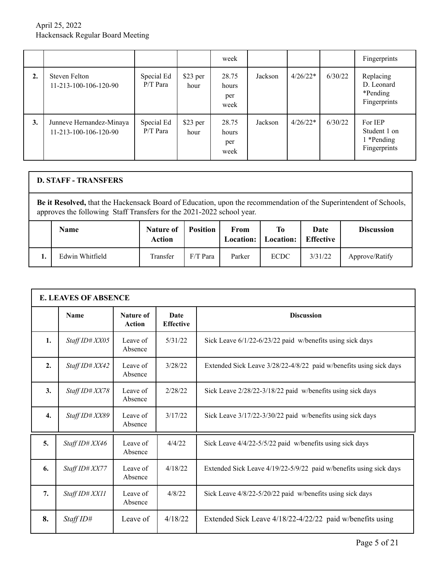|    |                                                   |                          |                  | week                          |         |            |         | Fingerprints                                          |
|----|---------------------------------------------------|--------------------------|------------------|-------------------------------|---------|------------|---------|-------------------------------------------------------|
| 2. | Steven Felton<br>11-213-100-106-120-90            | Special Ed<br>$P/T$ Para | \$23 per<br>hour | 28.75<br>hours<br>per<br>week | Jackson | $4/26/22*$ | 6/30/22 | Replacing<br>D. Leonard<br>*Pending<br>Fingerprints   |
| 3. | Junneve Hernandez-Minaya<br>11-213-100-106-120-90 | Special Ed<br>$P/T$ Para | \$23 per<br>hour | 28.75<br>hours<br>per<br>week | Jackson | $4/26/22*$ | 6/30/22 | For IEP<br>Student 1 on<br>1 *Pending<br>Fingerprints |

#### **D. STAFF - TRANSFERS Be it Resolved,** that the Hackensack Board of Education, upon the recommendation of the Superintendent of Schools, approves the following Staff Transfers for the 2021-2022 school year. **Name Nature Nature of Action Position From Location: To Location: Date Effective Discussion 1.** Edwin Whitfield **Transfer** F/T Para Parker ECDC 3/31/22 Approve/Ratify

|    | <b>E. LEAVES OF ABSENCE</b> |                            |                          |                                                                    |  |  |  |  |  |  |
|----|-----------------------------|----------------------------|--------------------------|--------------------------------------------------------------------|--|--|--|--|--|--|
|    | <b>Name</b>                 | Nature of<br><b>Action</b> | Date<br><b>Effective</b> | <b>Discussion</b>                                                  |  |  |  |  |  |  |
| 1. | Staff ID# XX05              | Leave of<br>Absence        | 5/31/22                  | Sick Leave 6/1/22-6/23/22 paid w/benefits using sick days          |  |  |  |  |  |  |
| 2. | Staff ID# XX42              | Leave of<br>Absence        | 3/28/22                  | Extended Sick Leave 3/28/22-4/8/22 paid w/benefits using sick days |  |  |  |  |  |  |
| 3. | Staff ID# XX78              | Leave of<br>Absence        | 2/28/22                  | Sick Leave 2/28/22-3/18/22 paid w/benefits using sick days         |  |  |  |  |  |  |
| 4. | Staff ID# XX89              | Leave of<br>Absence        | 3/17/22                  | Sick Leave 3/17/22-3/30/22 paid w/benefits using sick days         |  |  |  |  |  |  |
| 5. | Staff ID# XX46              | Leave of<br>Absence        | 4/4/22                   | Sick Leave 4/4/22-5/5/22 paid w/benefits using sick days           |  |  |  |  |  |  |
| 6. | Staff ID# XX77              | Leave of<br>Absence        | 4/18/22                  | Extended Sick Leave 4/19/22-5/9/22 paid w/benefits using sick days |  |  |  |  |  |  |
| 7. | Staff ID# XX11              | Leave of<br>Absence        | 4/8/22                   | Sick Leave 4/8/22-5/20/22 paid w/benefits using sick days          |  |  |  |  |  |  |
| 8. | StaffID#                    | Leave of                   | 4/18/22                  | Extended Sick Leave 4/18/22-4/22/22 paid w/benefits using          |  |  |  |  |  |  |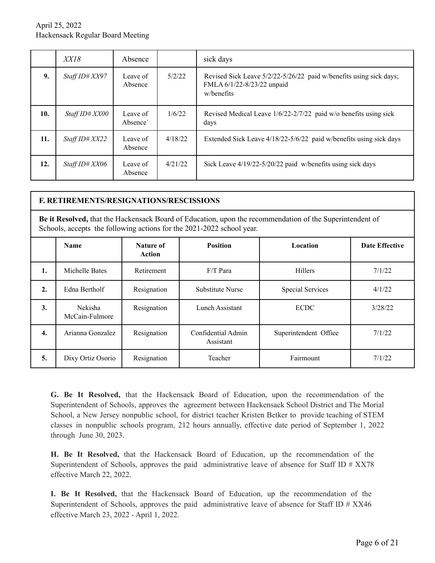|     | XXI8           | Absence             |         | sick days                                                                                                      |
|-----|----------------|---------------------|---------|----------------------------------------------------------------------------------------------------------------|
| 9.  | Staff ID# XX97 | Leave of<br>Absence | 5/2/22  | Revised Sick Leave 5/2/22-5/26/22 paid w/benefits using sick days;<br>FMLA 6/1/22-8/23/22 unpaid<br>w/benefits |
| 10. | Staff ID# XX00 | Leave of<br>Absence | 1/6/22  | Revised Medical Leave 1/6/22-2/7/22 paid w/o benefits using sick<br>days                                       |
| 11. | Staff ID# XX22 | Leave of<br>Absence | 4/18/22 | Extended Sick Leave 4/18/22-5/6/22 paid w/benefits using sick days                                             |
| 12. | Staff ID# XX06 | Leave of<br>Absence | 4/21/22 | Sick Leave 4/19/22-5/20/22 paid w/benefits using sick days                                                     |

|                                                                                            | <b>F. RETIREMENTS/RESIGNATIONS/RESCISSIONS</b>                                                                                                                                    |             |                                 |                         |         |  |  |  |  |  |  |
|--------------------------------------------------------------------------------------------|-----------------------------------------------------------------------------------------------------------------------------------------------------------------------------------|-------------|---------------------------------|-------------------------|---------|--|--|--|--|--|--|
|                                                                                            | Be it Resolved, that the Hackensack Board of Education, upon the recommendation of the Superintendent of<br>Schools, accepts the following actions for the 2021-2022 school year. |             |                                 |                         |         |  |  |  |  |  |  |
| <b>Position</b><br><b>Date Effective</b><br>Nature of<br>Location<br><b>Name</b><br>Action |                                                                                                                                                                                   |             |                                 |                         |         |  |  |  |  |  |  |
| 1.                                                                                         | Michelle Bates                                                                                                                                                                    | Retirement  | $F/T$ Para                      | <b>Hillers</b>          | 7/1/22  |  |  |  |  |  |  |
| $\overline{2}$ .                                                                           | Edna Bertholf                                                                                                                                                                     | Resignation | <b>Substitute Nurse</b>         | <b>Special Services</b> | 4/1/22  |  |  |  |  |  |  |
| 3.                                                                                         | Nekisha<br>McCain-Fulmore                                                                                                                                                         | Resignation | Lunch Assistant                 | <b>ECDC</b>             | 3/28/22 |  |  |  |  |  |  |
| 4.                                                                                         | Arianna Gonzalez                                                                                                                                                                  | Resignation | Confidential Admin<br>Assistant | Superintendent Office   | 7/1/22  |  |  |  |  |  |  |
| 5.                                                                                         | Dixy Ortiz Osorio                                                                                                                                                                 | Resignation | Teacher                         | Fairmount               | 7/1/22  |  |  |  |  |  |  |

**G. Be It Resolved,** that the Hackensack Board of Education, upon the recommendation of the Superintendent of Schools, approves the agreement between Hackensack School District and The Morial School, a New Jersey nonpublic school, for district teacher Kristen Betker to provide teaching of STEM classes in nonpublic schools program, 212 hours annually, effective date period of September 1, 2022 through June 30, 2023.

**H. Be It Resolved,** that the Hackensack Board of Education, up the recommendation of the Superintendent of Schools, approves the paid administrative leave of absence for Staff ID # XX78 effective March 22, 2022.

**I. Be It Resolved,** that the Hackensack Board of Education, up the recommendation of the Superintendent of Schools, approves the paid administrative leave of absence for Staff ID # XX46 effective March 23, 2022 - April 1, 2022.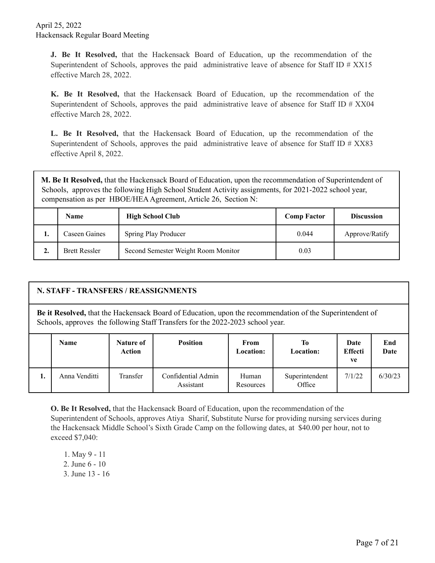**J. Be It Resolved,** that the Hackensack Board of Education, up the recommendation of the Superintendent of Schools, approves the paid administrative leave of absence for Staff ID # XX15 effective March 28, 2022.

**K. Be It Resolved,** that the Hackensack Board of Education, up the recommendation of the Superintendent of Schools, approves the paid administrative leave of absence for Staff ID # XX04 effective March 28, 2022.

**L. Be It Resolved,** that the Hackensack Board of Education, up the recommendation of the Superintendent of Schools, approves the paid administrative leave of absence for Staff ID # XX83 effective April 8, 2022.

**M. Be It Resolved,** that the Hackensack Board of Education, upon the recommendation of Superintendent of Schools, approves the following High School Student Activity assignments, for 2021-2022 school year, compensation as per HBOE/HEA Agreement, Article 26, Section N:

|         | <b>Name</b>          | <b>High School Club</b>             | <b>Comp Factor</b> | <b>Discussion</b> |
|---------|----------------------|-------------------------------------|--------------------|-------------------|
| . .     | Caseen Gaines        | Spring Play Producer                | 0.044              | Approve/Ratify    |
| C<br>∸∙ | <b>Brett Ressler</b> | Second Semester Weight Room Monitor | 0.03               |                   |

|                                                                                                                                                                                                   | N. STAFF - TRANSFERS / REASSIGNMENTS |                     |                                 |                    |                          |                              |             |
|---------------------------------------------------------------------------------------------------------------------------------------------------------------------------------------------------|--------------------------------------|---------------------|---------------------------------|--------------------|--------------------------|------------------------------|-------------|
| <b>Be it Resolved,</b> that the Hackensack Board of Education, upon the recommendation of the Superintendent of<br>Schools, approves the following Staff Transfers for the 2022-2023 school year. |                                      |                     |                                 |                    |                          |                              |             |
|                                                                                                                                                                                                   | <b>Name</b>                          | Nature of<br>Action | <b>Position</b>                 | From<br>Location:  | To<br>Location:          | Date<br><b>Effecti</b><br>ve | End<br>Date |
| 1.                                                                                                                                                                                                | Anna Venditti                        | Transfer            | Confidential Admin<br>Assistant | Human<br>Resources | Superintendent<br>Office | 7/1/22                       | 6/30/23     |

**O. Be It Resolved,** that the Hackensack Board of Education, upon the recommendation of the Superintendent of Schools, approves Atiya Sharif, Substitute Nurse for providing nursing services during the Hackensack Middle School's Sixth Grade Camp on the following dates, at \$40.00 per hour, not to exceed \$7,040:

- 1. May 9 11
- 2. June 6 10
- 3. June 13 16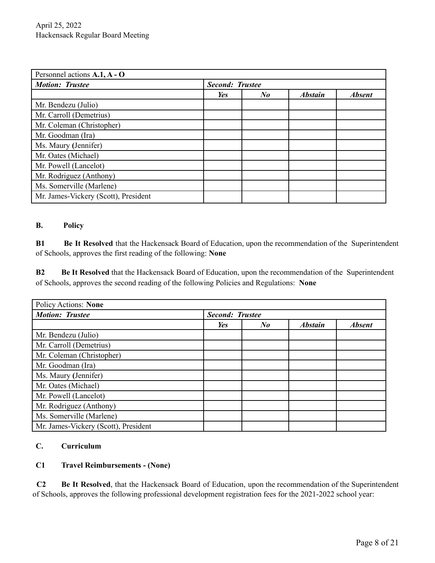| Personnel actions A.1, A - O         |                        |                      |                |               |
|--------------------------------------|------------------------|----------------------|----------------|---------------|
| <b>Motion: Trustee</b>               | <b>Second: Trustee</b> |                      |                |               |
|                                      | Yes                    | $N_{\boldsymbol{0}}$ | <b>Abstain</b> | <b>Absent</b> |
| Mr. Bendezu (Julio)                  |                        |                      |                |               |
| Mr. Carroll (Demetrius)              |                        |                      |                |               |
| Mr. Coleman (Christopher)            |                        |                      |                |               |
| Mr. Goodman (Ira)                    |                        |                      |                |               |
| Ms. Maury (Jennifer)                 |                        |                      |                |               |
| Mr. Oates (Michael)                  |                        |                      |                |               |
| Mr. Powell (Lancelot)                |                        |                      |                |               |
| Mr. Rodriguez (Anthony)              |                        |                      |                |               |
| Ms. Somerville (Marlene)             |                        |                      |                |               |
| Mr. James-Vickery (Scott), President |                        |                      |                |               |

## **B. Policy**

**B1 Be It Resolved** that the Hackensack Board of Education, upon the recommendation of the Superintendent of Schools, approves the first reading of the following: **None**

**B2 Be It Resolved** that the Hackensack Board of Education, upon the recommendation of the Superintendent of Schools, approves the second reading of the following Policies and Regulations: **None**

| <b>Policy Actions: None</b>          |     |                        |                |               |  |  |
|--------------------------------------|-----|------------------------|----------------|---------------|--|--|
| <b>Motion: Trustee</b>               |     | <b>Second: Trustee</b> |                |               |  |  |
|                                      | Yes | $N_{\boldsymbol{0}}$   | <b>Abstain</b> | <b>Absent</b> |  |  |
| Mr. Bendezu (Julio)                  |     |                        |                |               |  |  |
| Mr. Carroll (Demetrius)              |     |                        |                |               |  |  |
| Mr. Coleman (Christopher)            |     |                        |                |               |  |  |
| Mr. Goodman (Ira)                    |     |                        |                |               |  |  |
| Ms. Maury (Jennifer)                 |     |                        |                |               |  |  |
| Mr. Oates (Michael)                  |     |                        |                |               |  |  |
| Mr. Powell (Lancelot)                |     |                        |                |               |  |  |
| Mr. Rodriguez (Anthony)              |     |                        |                |               |  |  |
| Ms. Somerville (Marlene)             |     |                        |                |               |  |  |
| Mr. James-Vickery (Scott), President |     |                        |                |               |  |  |

# **C. Curriculum**

## **C1 Travel Reimbursements - (None)**

**C2 Be It Resolved**, that the Hackensack Board of Education, upon the recommendation of the Superintendent of Schools, approves the following professional development registration fees for the 2021-2022 school year: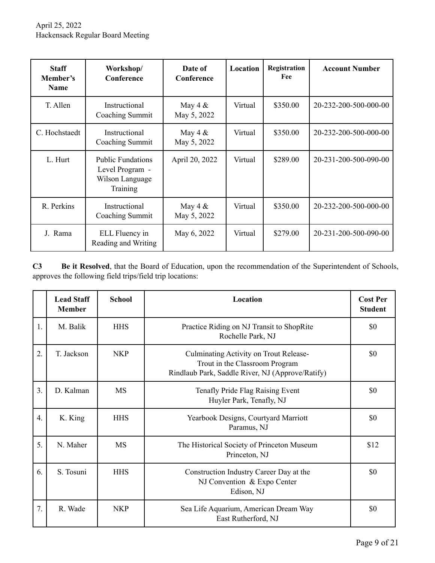| <b>Staff</b><br>Member's<br><b>Name</b> | Workshop/<br>Conference                                                    | Date of<br>Conference    | Location | Registration<br>Fee | <b>Account Number</b> |
|-----------------------------------------|----------------------------------------------------------------------------|--------------------------|----------|---------------------|-----------------------|
| T. Allen                                | Instructional<br>Coaching Summit                                           | May 4 $&$<br>May 5, 2022 | Virtual  | \$350.00            | 20-232-200-500-000-00 |
| C. Hochstaedt                           | Instructional<br>Coaching Summit                                           | May 4 $&$<br>May 5, 2022 | Virtual  | \$350.00            | 20-232-200-500-000-00 |
| L. Hurt                                 | <b>Public Fundations</b><br>Level Program -<br>Wilson Language<br>Training | April 20, 2022           | Virtual  | \$289.00            | 20-231-200-500-090-00 |
| R. Perkins                              | Instructional<br>Coaching Summit                                           | May 4 $&$<br>May 5, 2022 | Virtual  | \$350.00            | 20-232-200-500-000-00 |
| J. Rama                                 | ELL Fluency in<br>Reading and Writing                                      | May 6, 2022              | Virtual  | \$279.00            | 20-231-200-500-090-00 |

**C3 Be it Resolved**, that the Board of Education, upon the recommendation of the Superintendent of Schools, approves the following field trips/field trip locations:

|                  | <b>Lead Staff</b><br><b>Member</b> | <b>School</b> | Location                                                                                                                     | <b>Cost Per</b><br><b>Student</b> |
|------------------|------------------------------------|---------------|------------------------------------------------------------------------------------------------------------------------------|-----------------------------------|
| 1.               | M. Balik                           | <b>HHS</b>    | Practice Riding on NJ Transit to ShopRite<br>Rochelle Park, NJ                                                               | \$0                               |
| $\overline{2}$ . | T. Jackson                         | <b>NKP</b>    | Culminating Activity on Trout Release-<br>Trout in the Classroom Program<br>Rindlaub Park, Saddle River, NJ (Approve/Ratify) | \$0                               |
| $\overline{3}$ . | D. Kalman                          | <b>MS</b>     | Tenafly Pride Flag Raising Event<br>Huyler Park, Tenafly, NJ                                                                 | \$0                               |
| $\overline{4}$ . | K. King                            | <b>HHS</b>    | Yearbook Designs, Courtyard Marriott<br>Paramus, NJ                                                                          | \$0                               |
| 5.               | N. Maher                           | <b>MS</b>     | The Historical Society of Princeton Museum<br>Princeton, NJ                                                                  | \$12                              |
| 6.               | S. Tosuni                          | <b>HHS</b>    | Construction Industry Career Day at the<br>NJ Convention & Expo Center<br>Edison, NJ                                         | \$0                               |
| 7.               | R. Wade                            | <b>NKP</b>    | Sea Life Aquarium, American Dream Way<br>East Rutherford, NJ                                                                 | \$0                               |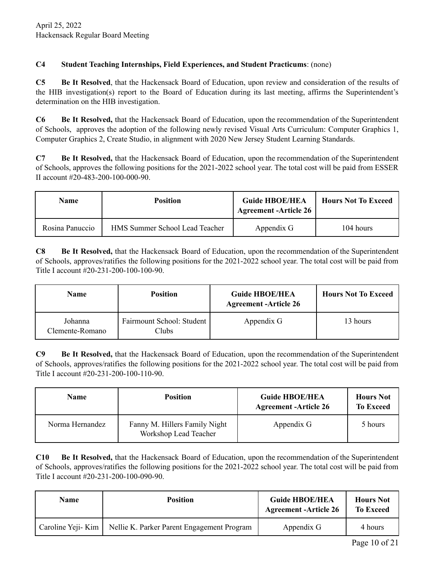# **C4 Student Teaching Internships, Field Experiences, and Student Practicums**: (none)

**C5 Be It Resolved**, that the Hackensack Board of Education, upon review and consideration of the results of the HIB investigation(s) report to the Board of Education during its last meeting, affirms the Superintendent's determination on the HIB investigation.

**C6 Be It Resolved,** that the Hackensack Board of Education, upon the recommendation of the Superintendent of Schools, approves the adoption of the following newly revised Visual Arts Curriculum: Computer Graphics 1, Computer Graphics 2, Create Studio, in alignment with 2020 New Jersey Student Learning Standards.

**C7 Be It Resolved,** that the Hackensack Board of Education, upon the recommendation of the Superintendent of Schools, approves the following positions for the 2021-2022 school year. The total cost will be paid from ESSER II account #20-483-200-100-000-90.

| Name            | <b>Position</b>                | <b>Guide HBOE/HEA</b><br><sup>'</sup> Agreement -Article 26 | <b>Hours Not To Exceed</b> |
|-----------------|--------------------------------|-------------------------------------------------------------|----------------------------|
| Rosina Panuccio | HMS Summer School Lead Teacher | Appendix G                                                  | 104 hours                  |

**C8 Be It Resolved,** that the Hackensack Board of Education, upon the recommendation of the Superintendent of Schools, approves/ratifies the following positions for the 2021-2022 school year. The total cost will be paid from Title I account #20-231-200-100-100-90.

| <b>Name</b>                | <b>Position</b>                     | <b>Guide HBOE/HEA</b><br><b>Agreement -Article 26</b> | <b>Hours Not To Exceed</b> |
|----------------------------|-------------------------------------|-------------------------------------------------------|----------------------------|
| Johanna<br>Clemente-Romano | Fairmount School: Student<br>Clubs. | Appendix G                                            | 13 hours                   |

**C9 Be It Resolved,** that the Hackensack Board of Education, upon the recommendation of the Superintendent of Schools, approves/ratifies the following positions for the 2021-2022 school year. The total cost will be paid from Title I account #20-231-200-100-110-90.

| <b>Name</b>     | <b>Position</b>                                        | <b>Guide HBOE/HEA</b><br><b>Agreement -Article 26</b> | <b>Hours Not</b><br><b>To Exceed</b> |
|-----------------|--------------------------------------------------------|-------------------------------------------------------|--------------------------------------|
| Norma Hernandez | Fanny M. Hillers Family Night<br>Workshop Lead Teacher | Appendix G                                            | 5 hours                              |

**C10 Be It Resolved,** that the Hackensack Board of Education, upon the recommendation of the Superintendent of Schools, approves/ratifies the following positions for the 2021-2022 school year. The total cost will be paid from Title I account #20-231-200-100-090-90.

| <b>Name</b>       | <b>Position</b>                            | <b>Guide HBOE/HEA</b><br><b>Agreement -Article 26</b> | <b>Hours Not</b><br><b>To Exceed</b> |
|-------------------|--------------------------------------------|-------------------------------------------------------|--------------------------------------|
| Caroline Yeji-Kim | Nellie K. Parker Parent Engagement Program | Appendix G                                            | 4 hours                              |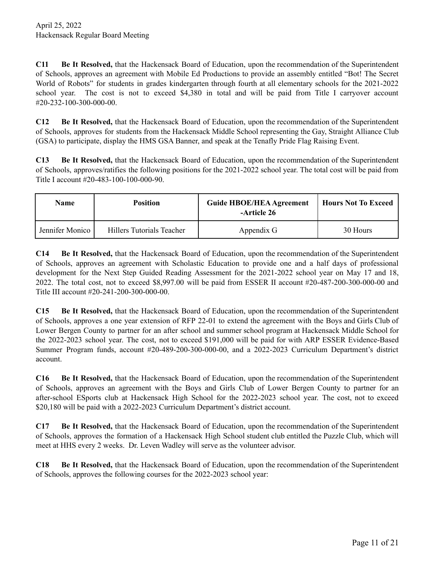**C11 Be It Resolved,** that the Hackensack Board of Education, upon the recommendation of the Superintendent of Schools, approves an agreement with Mobile Ed Productions to provide an assembly entitled "Bot! The Secret World of Robots" for students in grades kindergarten through fourth at all elementary schools for the 2021-2022 school year. The cost is not to exceed \$4,380 in total and will be paid from Title I carryover account #20-232-100-300-000-00.

**C12 Be It Resolved,** that the Hackensack Board of Education, upon the recommendation of the Superintendent of Schools, approves for students from the Hackensack Middle School representing the Gay, Straight Alliance Club (GSA) to participate, display the HMS GSA Banner, and speak at the Tenafly Pride Flag Raising Event.

**C13 Be It Resolved,** that the Hackensack Board of Education, upon the recommendation of the Superintendent of Schools, approves/ratifies the following positions for the 2021-2022 school year. The total cost will be paid from Title I account #20-483-100-100-000-90.

| Name            | <b>Position</b>           | <b>Guide HBOE/HEA Agreement</b><br>-Article 26 | <b>Hours Not To Exceed</b> |
|-----------------|---------------------------|------------------------------------------------|----------------------------|
| Jennifer Monico | Hillers Tutorials Teacher | Appendix G                                     | 30 Hours                   |

**C14 Be It Resolved,** that the Hackensack Board of Education, upon the recommendation of the Superintendent of Schools, approves an agreement with Scholastic Education to provide one and a half days of professional development for the Next Step Guided Reading Assessment for the 2021-2022 school year on May 17 and 18, 2022. The total cost, not to exceed \$8,997.00 will be paid from ESSER II account #20-487-200-300-000-00 and Title III account #20-241-200-300-000-00.

**C15 Be It Resolved,** that the Hackensack Board of Education, upon the recommendation of the Superintendent of Schools, approves a one year extension of RFP 22-01 to extend the agreement with the Boys and Girls Club of Lower Bergen County to partner for an after school and summer school program at Hackensack Middle School for the 2022-2023 school year. The cost, not to exceed \$191,000 will be paid for with ARP ESSER Evidence-Based Summer Program funds, account #20-489-200-300-000-00, and a 2022-2023 Curriculum Department's district account.

**C16 Be It Resolved,** that the Hackensack Board of Education, upon the recommendation of the Superintendent of Schools, approves an agreement with the Boys and Girls Club of Lower Bergen County to partner for an after-school ESports club at Hackensack High School for the 2022-2023 school year. The cost, not to exceed \$20,180 will be paid with a 2022-2023 Curriculum Department's district account.

**C17 Be It Resolved,** that the Hackensack Board of Education, upon the recommendation of the Superintendent of Schools, approves the formation of a Hackensack High School student club entitled the Puzzle Club, which will meet at HHS every 2 weeks. Dr. Leven Wadley will serve as the volunteer advisor.

**C18 Be It Resolved,** that the Hackensack Board of Education, upon the recommendation of the Superintendent of Schools, approves the following courses for the 2022-2023 school year: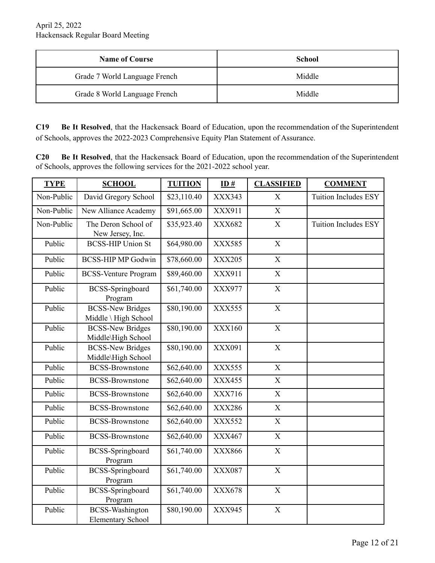| <b>Name of Course</b>         | School |
|-------------------------------|--------|
| Grade 7 World Language French | Middle |
| Grade 8 World Language French | Middle |

**C19 Be It Resolved**, that the Hackensack Board of Education, upon the recommendation of the Superintendent of Schools, approves the 2022-2023 Comprehensive Equity Plan Statement of Assurance.

**C20 Be It Resolved**, that the Hackensack Board of Education, upon the recommendation of the Superintendent of Schools, approves the following services for the 2021-2022 school year.

| <b>TYPE</b> | <b>SCHOOL</b>                                      | <b>TUITION</b>          | ID#           | <b>CLASSIFIED</b>         | <b>COMMENT</b>              |
|-------------|----------------------------------------------------|-------------------------|---------------|---------------------------|-----------------------------|
| Non-Public  | David Gregory School                               | \$23,110.40             | XXX343        | X                         | <b>Tuition Includes ESY</b> |
| Non-Public  | New Alliance Academy                               | \$91,665.00             | XXX911        | $\mathbf X$               |                             |
| Non-Public  | The Deron School of<br>New Jersey, Inc.            | \$35,923.40             | XXX682        | X                         | Tuition Includes ESY        |
| Public      | <b>BCSS-HIP Union St</b>                           | \$64,980.00             | <b>XXX585</b> | X                         |                             |
| Public      | <b>BCSS-HIP MP Godwin</b>                          | \$78,660.00             | <b>XXX205</b> | $\mathbf X$               |                             |
| Public      | <b>BCSS-Venture Program</b>                        | \$89,460.00             | XXX911        | $\mathbf X$               |                             |
| Public      | <b>BCSS-Springboard</b><br>Program                 | \$61,740.00             | XXX977        | $\mathbf X$               |                             |
| Public      | <b>BCSS-New Bridges</b><br>Middle \ High School    | \$80,190.00             | <b>XXX555</b> | $\mathbf X$               |                             |
| Public      | <b>BCSS-New Bridges</b><br>Middle\High School      | \$80,190.00             | <b>XXX160</b> | $\mathbf X$               |                             |
| Public      | <b>BCSS-New Bridges</b><br>Middle\High School      | \$80,190.00             | XXX091        | $\mathbf X$               |                             |
| Public      | <b>BCSS-Brownstone</b>                             | \$62,640.00             | <b>XXX555</b> | $\mathbf X$               |                             |
| Public      | <b>BCSS-Brownstone</b>                             | \$62,640.00             | <b>XXX455</b> | $\mathbf X$               |                             |
| Public      | <b>BCSS-Brownstone</b>                             | \$62,640.00             | XXX716        | $\mathbf X$               |                             |
| Public      | <b>BCSS-Brownstone</b>                             | \$62,640.00             | <b>XXX286</b> | X                         |                             |
| Public      | <b>BCSS-Brownstone</b>                             | \$62,640.00             | <b>XXX552</b> | $\mathbf X$               |                             |
| Public      | <b>BCSS-Brownstone</b>                             | \$62,640.00             | XXX467        | $\mathbf X$               |                             |
| Public      | <b>BCSS-Springboard</b><br>Program                 | \$61,740.00             | XXX866        | $\mathbf X$               |                             |
| Public      | <b>BCSS-Springboard</b><br>Program                 | \$61,740.00             | <b>XXX087</b> | X                         |                             |
| Public      | <b>BCSS-Springboard</b><br>Program                 | $\overline{$61,740.00}$ | XXX678        | $\boldsymbol{\mathrm{X}}$ |                             |
| Public      | <b>BCSS-Washington</b><br><b>Elementary School</b> | \$80,190.00             | XXX945        | $\mathbf X$               |                             |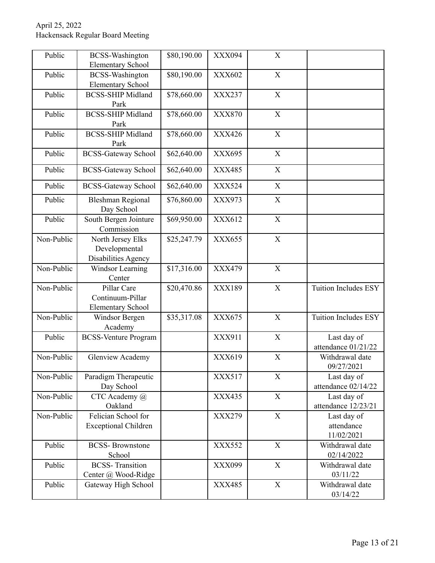| Public     | <b>BCSS-Washington</b><br><b>Elementary School</b>          | \$80,190.00 | XXX094        | $\boldsymbol{\mathrm{X}}$ |                                         |
|------------|-------------------------------------------------------------|-------------|---------------|---------------------------|-----------------------------------------|
| Public     | <b>BCSS-Washington</b><br><b>Elementary School</b>          | \$80,190.00 | <b>XXX602</b> | X                         |                                         |
| Public     | <b>BCSS-SHIP Midland</b><br>Park                            | \$78,660.00 | XXX237        | $\mathbf X$               |                                         |
| Public     | <b>BCSS-SHIP Midland</b><br>Park                            | \$78,660.00 | <b>XXX870</b> | $\mathbf X$               |                                         |
| Public     | <b>BCSS-SHIP Midland</b><br>Park                            | \$78,660.00 | <b>XXX426</b> | X                         |                                         |
| Public     | <b>BCSS-Gateway School</b>                                  | \$62,640.00 | XXX695        | $\boldsymbol{\mathrm{X}}$ |                                         |
| Public     | <b>BCSS-Gateway School</b>                                  | \$62,640.00 | <b>XXX485</b> | $\mathbf X$               |                                         |
| Public     | <b>BCSS-Gateway School</b>                                  | \$62,640.00 | <b>XXX524</b> | X                         |                                         |
| Public     | <b>Bleshman Regional</b><br>Day School                      | \$76,860.00 | <b>XXX973</b> | $\mathbf X$               |                                         |
| Public     | South Bergen Jointure<br>Commission                         | \$69,950.00 | XXX612        | $\boldsymbol{\mathrm{X}}$ |                                         |
| Non-Public | North Jersey Elks<br>Developmental<br>Disabilities Agency   | \$25,247.79 | XXX655        | $\mathbf X$               |                                         |
| Non-Public | Windsor Learning<br>Center                                  | \$17,316.00 | <b>XXX479</b> | X                         |                                         |
| Non-Public | Pillar Care<br>Continuum-Pillar<br><b>Elementary School</b> | \$20,470.86 | XXX189        | $\mathbf X$               | <b>Tuition Includes ESY</b>             |
| Non-Public | Windsor Bergen<br>Academy                                   | \$35,317.08 | <b>XXX675</b> | $\boldsymbol{\mathrm{X}}$ | <b>Tuition Includes ESY</b>             |
| Public     | <b>BCSS-Venture Program</b>                                 |             | XXX911        | $\mathbf X$               | Last day of<br>attendance 01/21/22      |
| Non-Public | Glenview Academy                                            |             | XXX619        | X                         | Withdrawal date<br>09/27/2021           |
| Non-Public | Paradigm Therapeutic<br>Day School                          |             | XXX517        | $\mathbf X$               | Last day of<br>attendance 02/14/22      |
| Non-Public | CTC Academy @<br>Oakland                                    |             | XXX435        | $\mathbf X$               | Last day of<br>attendance 12/23/21      |
| Non-Public | Felician School for<br><b>Exceptional Children</b>          |             | <b>XXX279</b> | $\boldsymbol{\mathrm{X}}$ | Last day of<br>attendance<br>11/02/2021 |
| Public     | <b>BCSS-</b> Brownstone<br>School                           |             | <b>XXX552</b> | $\boldsymbol{\mathrm{X}}$ | Withdrawal date<br>02/14/2022           |
| Public     | <b>BCSS-Transition</b><br>Center @ Wood-Ridge               |             | XXX099        | $\boldsymbol{\mathrm{X}}$ | Withdrawal date<br>03/11/22             |
| Public     | Gateway High School                                         |             | XXX485        | $\mathbf X$               | Withdrawal date<br>03/14/22             |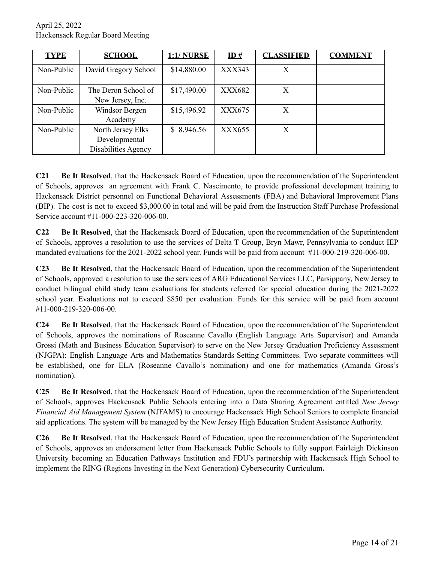| <b>TYPE</b> | <b>SCHOOL</b>                                             | <b>1:1/ NURSE</b> | ID#           | <b>CLASSIFIED</b> | <b>COMMENT</b> |
|-------------|-----------------------------------------------------------|-------------------|---------------|-------------------|----------------|
| Non-Public  | David Gregory School                                      | \$14,880.00       | XXX343        | Χ                 |                |
| Non-Public  | The Deron School of<br>New Jersey, Inc.                   | \$17,490.00       | XXX682        | X                 |                |
| Non-Public  | Windsor Bergen<br>Academy                                 | \$15,496.92       | <b>XXX675</b> | Χ                 |                |
| Non-Public  | North Jersey Elks<br>Developmental<br>Disabilities Agency | \$8,946.56        | XXX655        | X                 |                |

**C21 Be It Resolved**, that the Hackensack Board of Education, upon the recommendation of the Superintendent of Schools, approves an agreement with Frank C. Nascimento, to provide professional development training to Hackensack District personnel on Functional Behavioral Assessments (FBA) and Behavioral Improvement Plans (BIP). The cost is not to exceed \$3,000.00 in total and will be paid from the Instruction Staff Purchase Professional Service account #11-000-223-320-006-00.

**C22 Be It Resolved**, that the Hackensack Board of Education, upon the recommendation of the Superintendent of Schools, approves a resolution to use the services of Delta T Group, Bryn Mawr, Pennsylvania to conduct IEP mandated evaluations for the 2021-2022 school year. Funds will be paid from account #11-000-219-320-006-00.

**C23 Be It Resolved**, that the Hackensack Board of Education, upon the recommendation of the Superintendent of Schools, approved a resolution to use the services of ARG Educational Services LLC, Parsippany, New Jersey to conduct bilingual child study team evaluations for students referred for special education during the 2021-2022 school year. Evaluations not to exceed \$850 per evaluation. Funds for this service will be paid from account #11-000-219-320-006-00.

**C24 Be It Resolved**, that the Hackensack Board of Education, upon the recommendation of the Superintendent of Schools, approves the nominations of Roseanne Cavallo (English Language Arts Supervisor) and Amanda Grossi (Math and Business Education Supervisor) to serve on the New Jersey Graduation Proficiency Assessment (NJGPA): English Language Arts and Mathematics Standards Setting Committees. Two separate committees will be established, one for ELA (Roseanne Cavallo's nomination) and one for mathematics (Amanda Gross's nomination).

**C25 Be It Resolved**, that the Hackensack Board of Education, upon the recommendation of the Superintendent of Schools, approves Hackensack Public Schools entering into a Data Sharing Agreement entitled *New Jersey Financial Aid Management System* (NJFAMS) to encourage Hackensack High School Seniors to complete financial aid applications. The system will be managed by the New Jersey High Education Student Assistance Authority.

**C26 Be It Resolved**, that the Hackensack Board of Education, upon the recommendation of the Superintendent of Schools, approves an endorsement letter from Hackensack Public Schools to fully support Fairleigh Dickinson University becoming an Education Pathways Institution and FDU's partnership with Hackensack High School to implement the RING (Regions Investing in the Next Generation**)** Cybersecurity Curriculum**.**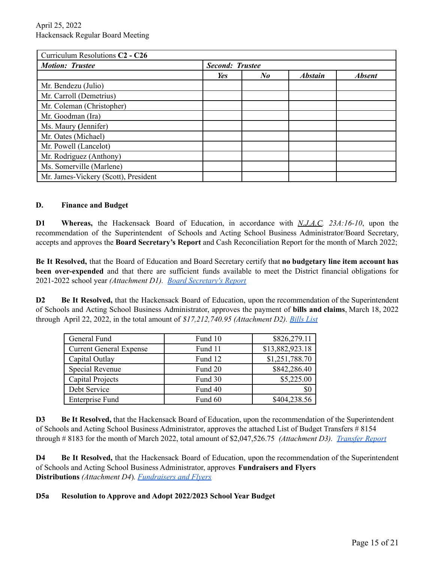| Curriculum Resolutions C <sub>2</sub> - C <sub>26</sub> |                        |          |                |               |
|---------------------------------------------------------|------------------------|----------|----------------|---------------|
| <b>Motion: Trustee</b>                                  | <b>Second: Trustee</b> |          |                |               |
|                                                         | Yes                    | $\bm{N}$ | <b>Abstain</b> | <b>Absent</b> |
| Mr. Bendezu (Julio)                                     |                        |          |                |               |
| Mr. Carroll (Demetrius)                                 |                        |          |                |               |
| Mr. Coleman (Christopher)                               |                        |          |                |               |
| Mr. Goodman (Ira)                                       |                        |          |                |               |
| Ms. Maury (Jennifer)                                    |                        |          |                |               |
| Mr. Oates (Michael)                                     |                        |          |                |               |
| Mr. Powell (Lancelot)                                   |                        |          |                |               |
| Mr. Rodriguez (Anthony)                                 |                        |          |                |               |
| Ms. Somerville (Marlene)                                |                        |          |                |               |
| Mr. James-Vickery (Scott), President                    |                        |          |                |               |

#### **D. Finance and Budget**

**D1 Whereas,** the Hackensack Board of Education, in accordance with *N.J.A.C. 23A:16-10*, upon the recommendation of the Superintendent of Schools and Acting School Business Administrator/Board Secretary, accepts and approves the **Board Secretary's Report** and Cash Reconciliation Report for the month of March 2022;

**Be It Resolved,** that the Board of Education and Board Secretary certify that **no budgetary line item account has been over-expended** and that there are sufficient funds available to meet the District financial obligations for 2021-2022 school year *(Attachment D1). Board [Secretary's](https://drive.google.com/file/d/10E6Z2qM3JOxlcLHjSfgpcOd17fXguSM-/view?usp=sharing) Report*

**D2 Be It Resolved,** that the Hackensack Board of Education, upon the recommendation of the Superintendent of Schools and Acting School Business Administrator, approves the payment of **bills and claims**, March 18, 2022 through April 22, 2022, in the total amount of *\$17,212,740.95 (Attachment D2). [Bills](https://drive.google.com/file/d/1aAbTt_sCnLzMNL1-wAMenYmhnK50zAwH/view?usp=sharing) List*

| General Fund                   | Fund 10 | \$826,279.11    |
|--------------------------------|---------|-----------------|
| <b>Current General Expense</b> | Fund 11 | \$13,882,923.18 |
| Capital Outlay                 | Fund 12 | \$1,251,788.70  |
| Special Revenue                | Fund 20 | \$842,286.40    |
| Capital Projects               | Fund 30 | \$5,225.00      |
| Debt Service                   | Fund 40 | \$0             |
| <b>Enterprise Fund</b>         | Fund 60 | \$404,238.56    |

**D3 Be It Resolved,** that the Hackensack Board of Education, upon the recommendation of the Superintendent of Schools and Acting School Business Administrator, approves the attached List of Budget Transfers # 8154 through # 8183 for the month of March 2022, total amount of \$2,047,526.75 *(Attachment D3). [Transfer](https://drive.google.com/file/d/1lwoCzfQzj0tJBGDUQDDxLNCSwm7siaAJ/view?usp=sharing) Report*

**D4 Be It Resolved,** that the Hackensack Board of Education, upon the recommendation of the Superintendent of Schools and Acting School Business Administrator, approves **Fundraisers and Flyers Distributions** *(Attachment D4*)*. [Fundraisers](https://drive.google.com/file/d/1zZ-yaOtOubn3Ob3rBNFDU_k7ZbgfoKQi/view?usp=sharing) and Flyers*

## **D5a Resolution to Approve and Adopt 2022/2023 School Year Budget**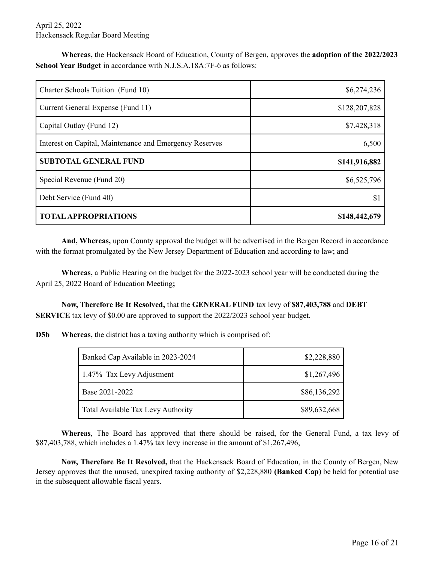**Whereas,** the Hackensack Board of Education, County of Bergen, approves the **adoption of the 2022/2023 School Year Budget** in accordance with N.J.S.A.18A:7F-6 as follows:

| Charter Schools Tuition (Fund 10)                       | \$6,274,236   |
|---------------------------------------------------------|---------------|
| Current General Expense (Fund 11)                       | \$128,207,828 |
| Capital Outlay (Fund 12)                                | \$7,428,318   |
| Interest on Capital, Maintenance and Emergency Reserves | 6,500         |
| <b>SUBTOTAL GENERAL FUND</b>                            | \$141,916,882 |
| Special Revenue (Fund 20)                               | \$6,525,796   |
| Debt Service (Fund 40)                                  | \$1           |
| <b>TOTAL APPROPRIATIONS</b>                             | \$148,442,679 |

**And, Whereas,** upon County approval the budget will be advertised in the Bergen Record in accordance with the format promulgated by the New Jersey Department of Education and according to law; and

**Whereas,** a Public Hearing on the budget for the 2022-2023 school year will be conducted during the April 25, 2022 Board of Education Meeting**;**

**Now, Therefore Be It Resolved,** that the **GENERAL FUND** tax levy of **\$87,403,788** and **DEBT SERVICE** tax levy of \$0.00 are approved to support the 2022/2023 school year budget.

**D5b Whereas,** the district has a taxing authority which is comprised of:

| Banked Cap Available in 2023-2024  | \$2,228,880  |
|------------------------------------|--------------|
| 1.47% Tax Levy Adjustment          | \$1,267,496  |
| Base 2021-2022                     | \$86,136,292 |
| Total Available Tax Levy Authority | \$89,632,668 |

**Whereas**, The Board has approved that there should be raised, for the General Fund, a tax levy of \$87,403,788, which includes a 1.47% tax levy increase in the amount of \$1,267,496,

**Now, Therefore Be It Resolved,** that the Hackensack Board of Education, in the County of Bergen, New Jersey approves that the unused, unexpired taxing authority of \$2,228,880 **(Banked Cap)** be held for potential use in the subsequent allowable fiscal years.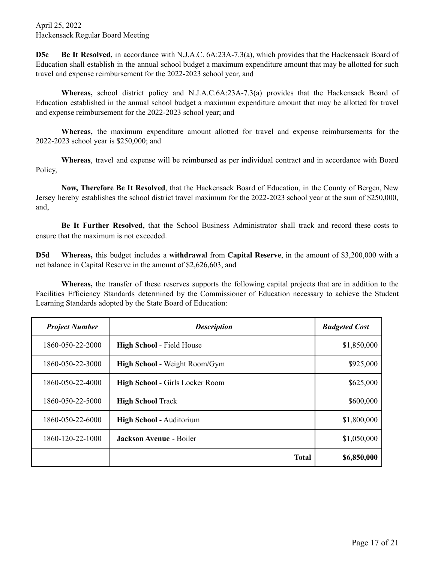**D5c Be It Resolved,** in accordance with N.J.A.C. 6A:23A-7.3(a), which provides that the Hackensack Board of Education shall establish in the annual school budget a maximum expenditure amount that may be allotted for such travel and expense reimbursement for the 2022-2023 school year, and

**Whereas,** school district policy and N.J.A.C.6A:23A-7.3(a) provides that the Hackensack Board of Education established in the annual school budget a maximum expenditure amount that may be allotted for travel and expense reimbursement for the 2022-2023 school year; and

**Whereas,** the maximum expenditure amount allotted for travel and expense reimbursements for the 2022-2023 school year is \$250,000; and

**Whereas**, travel and expense will be reimbursed as per individual contract and in accordance with Board Policy,

**Now, Therefore Be It Resolved**, that the Hackensack Board of Education, in the County of Bergen, New Jersey hereby establishes the school district travel maximum for the 2022-2023 school year at the sum of \$250,000, and,

**Be It Further Resolved,** that the School Business Administrator shall track and record these costs to ensure that the maximum is not exceeded.

**D5d Whereas,** this budget includes a **withdrawal** from **Capital Reserve**, in the amount of \$3,200,000 with a net balance in Capital Reserve in the amount of \$2,626,603, and

**Whereas,** the transfer of these reserves supports the following capital projects that are in addition to the Facilities Efficiency Standards determined by the Commissioner of Education necessary to achieve the Student Learning Standards adopted by the State Board of Education:

| <b>Project Number</b> | <b>Description</b>               | <b>Budgeted Cost</b> |
|-----------------------|----------------------------------|----------------------|
| 1860-050-22-2000      | <b>High School - Field House</b> | \$1,850,000          |
| 1860-050-22-3000      | High School - Weight Room/Gym    | \$925,000            |
| 1860-050-22-4000      | High School - Girls Locker Room  | \$625,000            |
| 1860-050-22-5000      | <b>High School Track</b>         | \$600,000            |
| 1860-050-22-6000      | <b>High School - Auditorium</b>  | \$1,800,000          |
| 1860-120-22-1000      | <b>Jackson Avenue - Boiler</b>   | \$1,050,000          |
|                       | <b>Total</b>                     | \$6,850,000          |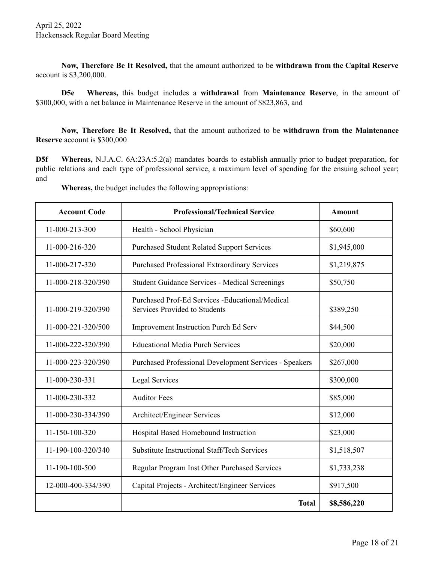**Now, Therefore Be It Resolved,** that the amount authorized to be **withdrawn from the Capital Reserve** account is \$3,200,000.

**D5e Whereas,** this budget includes a **withdrawal** from **Maintenance Reserve**, in the amount of \$300,000, with a net balance in Maintenance Reserve in the amount of \$823,863, and

**Now, Therefore Be It Resolved,** that the amount authorized to be **withdrawn from the Maintenance Reserve** account is \$300,000

**D5f Whereas,** N.J.A.C. 6A:23A:5.2(a) mandates boards to establish annually prior to budget preparation, for public relations and each type of professional service, a maximum level of spending for the ensuing school year; and

**Whereas,** the budget includes the following appropriations:

| <b>Account Code</b> | <b>Professional/Technical Service</b>                                             | <b>Amount</b> |
|---------------------|-----------------------------------------------------------------------------------|---------------|
| 11-000-213-300      | Health - School Physician                                                         | \$60,600      |
| 11-000-216-320      | <b>Purchased Student Related Support Services</b>                                 | \$1,945,000   |
| 11-000-217-320      | <b>Purchased Professional Extraordinary Services</b>                              | \$1,219,875   |
| 11-000-218-320/390  | <b>Student Guidance Services - Medical Screenings</b>                             | \$50,750      |
| 11-000-219-320/390  | Purchased Prof-Ed Services - Educational/Medical<br>Services Provided to Students | \$389,250     |
| 11-000-221-320/500  | <b>Improvement Instruction Purch Ed Serv</b>                                      | \$44,500      |
| 11-000-222-320/390  | <b>Educational Media Purch Services</b>                                           | \$20,000      |
| 11-000-223-320/390  | <b>Purchased Professional Development Services - Speakers</b>                     | \$267,000     |
| 11-000-230-331      | <b>Legal Services</b>                                                             | \$300,000     |
| 11-000-230-332      | <b>Auditor Fees</b>                                                               | \$85,000      |
| 11-000-230-334/390  | Architect/Engineer Services                                                       | \$12,000      |
| 11-150-100-320      | Hospital Based Homebound Instruction                                              | \$23,000      |
| 11-190-100-320/340  | Substitute Instructional Staff/Tech Services                                      | \$1,518,507   |
| 11-190-100-500      | Regular Program Inst Other Purchased Services                                     | \$1,733,238   |
| 12-000-400-334/390  | Capital Projects - Architect/Engineer Services                                    | \$917,500     |
|                     | <b>Total</b>                                                                      | \$8,586,220   |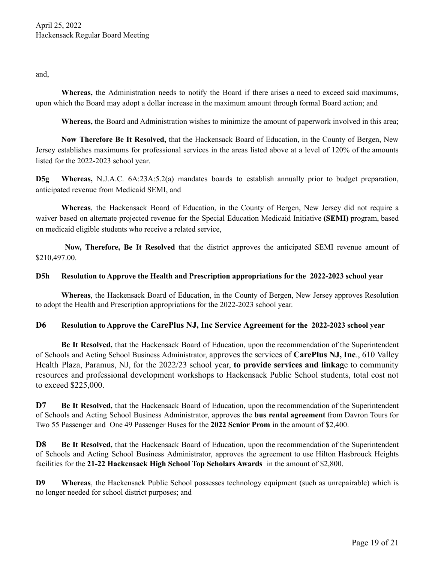and,

**Whereas,** the Administration needs to notify the Board if there arises a need to exceed said maximums, upon which the Board may adopt a dollar increase in the maximum amount through formal Board action; and

**Whereas,** the Board and Administration wishes to minimize the amount of paperwork involved in this area;

**Now Therefore Be It Resolved,** that the Hackensack Board of Education, in the County of Bergen, New Jersey establishes maximums for professional services in the areas listed above at a level of 120% of the amounts listed for the 2022-2023 school year.

**D5g Whereas,** N.J.A.C. 6A:23A:5.2(a) mandates boards to establish annually prior to budget preparation, anticipated revenue from Medicaid SEMI, and

**Whereas**, the Hackensack Board of Education, in the County of Bergen, New Jersey did not require a waiver based on alternate projected revenue for the Special Education Medicaid Initiative **(SEMI)** program, based on medicaid eligible students who receive a related service,

**Now, Therefore, Be It Resolved** that the district approves the anticipated SEMI revenue amount of \$210,497.00.

#### **D5h Resolution to Approve the Health and Prescription appropriations for the 2022-2023 school year**

**Whereas**, the Hackensack Board of Education, in the County of Bergen, New Jersey approves Resolution to adopt the Health and Prescription appropriations for the 2022-2023 school year.

## **D6 Resolution to Approve the CarePlus NJ, Inc Service Agreement for the 2022-2023 school year**

**Be It Resolved,** that the Hackensack Board of Education, upon the recommendation of the Superintendent of Schools and Acting School Business Administrator, approves the services of **CarePlus NJ, Inc**., 610 Valley Health Plaza, Paramus, NJ, for the 2022/23 school year, **to provide services and linkag**e to community resources and professional development workshops to Hackensack Public School students, total cost not to exceed \$225,000.

**D7 Be It Resolved,** that the Hackensack Board of Education, upon the recommendation of the Superintendent of Schools and Acting School Business Administrator, approves the **bus rental agreement** from Davron Tours for Two 55 Passenger and One 49 Passenger Buses for the **2022 Senior Prom** in the amount of \$2,400.

**D8 Be It Resolved,** that the Hackensack Board of Education, upon the recommendation of the Superintendent of Schools and Acting School Business Administrator, approves the agreement to use Hilton Hasbrouck Heights facilities for the **21-22 Hackensack High School Top Scholars Awards** in the amount of \$2,800.

**D9 Whereas**, the Hackensack Public School possesses technology equipment (such as unrepairable) which is no longer needed for school district purposes; and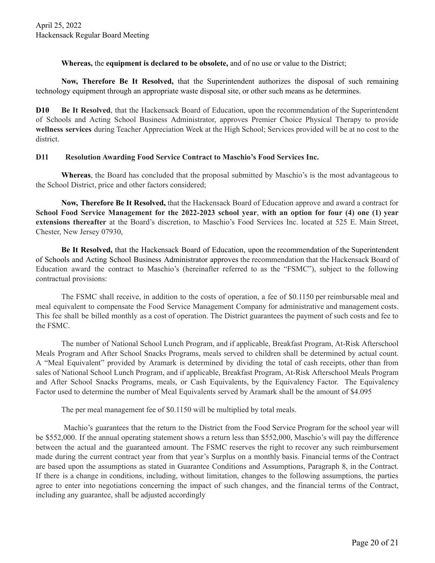**Whereas,** the **equipment is declared to be obsolete,** and of no use or value to the District;

**Now, Therefore Be It Resolved,** that the Superintendent authorizes the disposal of such remaining technology equipment through an appropriate waste disposal site, or other such means as he determines.

**D10 Be It Resolved**, that the Hackensack Board of Education, upon the recommendation of the Superintendent of Schools and Acting School Business Administrator, approves Premier Choice Physical Therapy to provide **wellness services** during Teacher Appreciation Week at the High School; Services provided will be at no cost to the district.

## **D11 Resolution Awarding Food Service Contract to Maschio's Food Services Inc.**

**Whereas**, the Board has concluded that the proposal submitted by Maschio's is the most advantageous to the School District, price and other factors considered;

**Now, Therefore Be It Resolved,** that the Hackensack Board of Education approve and award a contract for School Food Service Management for the 2022-2023 school year, with an option for four (4) one (1) year **extensions thereafter** at the Board's discretion, to Maschio's Food Services Inc. located at 525 E. Main Street, Chester, New Jersey 07930,

**Be It Resolved,** that the Hackensack Board of Education, upon the recommendation of the Superintendent of Schools and Acting School Business Administrator approves the recommendation that the Hackensack Board of Education award the contract to Maschio's (hereinafter referred to as the "FSMC"), subject to the following contractual provisions:

The FSMC shall receive, in addition to the costs of operation, a fee of \$0.1150 per reimbursable meal and meal equivalent to compensate the Food Service Management Company for administrative and management costs. This fee shall be billed monthly as a cost of operation. The District guarantees the payment of such costs and fee to the FSMC.

The number of National School Lunch Program, and if applicable, Breakfast Program, At-Risk Afterschool Meals Program and After School Snacks Programs, meals served to children shall be determined by actual count. A "Meal Equivalent" provided by Aramark is determined by dividing the total of cash receipts, other than from sales of National School Lunch Program, and if applicable, Breakfast Program, At-Risk Afterschool Meals Program and After School Snacks Programs, meals, or Cash Equivalents, by the Equivalency Factor. The Equivalency Factor used to determine the number of Meal Equivalents served by Aramark shall be the amount of \$4.095

The per meal management fee of \$0.1150 will be multiplied by total meals.

Machio's guarantees that the return to the District from the Food Service Program for the school year will be \$552,000. If the annual operating statement shows a return less than \$552,000, Maschio's will pay the difference between the actual and the guaranteed amount. The FSMC reserves the right to recover any such reimbursement made during the current contract year from that year's Surplus on a monthly basis. Financial terms of the Contract are based upon the assumptions as stated in Guarantee Conditions and Assumptions, Paragraph 8, in the Contract. If there is a change in conditions, including, without limitation, changes to the following assumptions, the parties agree to enter into negotiations concerning the impact of such changes, and the financial terms of the Contract, including any guarantee, shall be adjusted accordingly